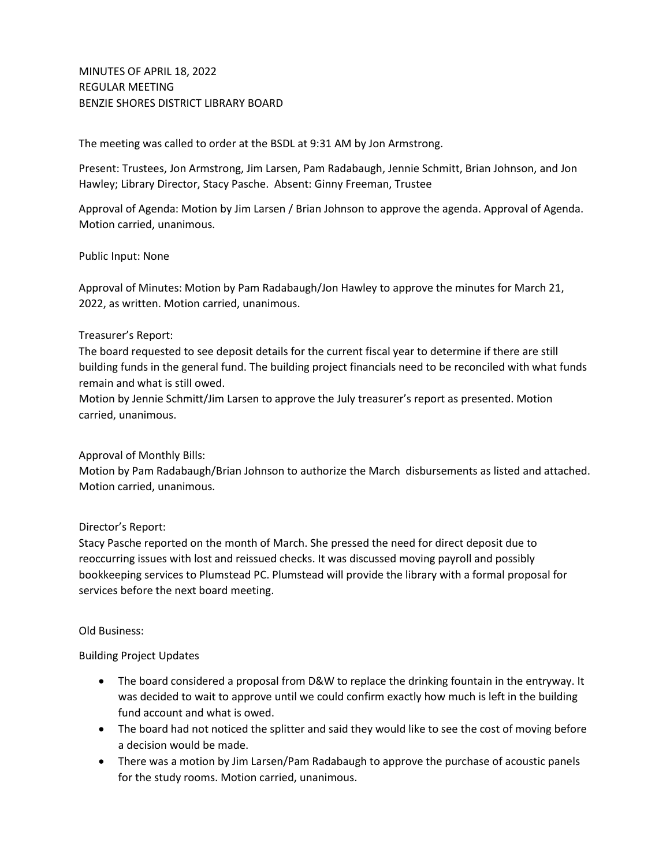The meeting was called to order at the BSDL at 9:31 AM by Jon Armstrong.

Present: Trustees, Jon Armstrong, Jim Larsen, Pam Radabaugh, Jennie Schmitt, Brian Johnson, and Jon Hawley; Library Director, Stacy Pasche. Absent: Ginny Freeman, Trustee

Approval of Agenda: Motion by Jim Larsen / Brian Johnson to approve the agenda. Approval of Agenda. Motion carried, unanimous.

## Public Input: None

Approval of Minutes: Motion by Pam Radabaugh/Jon Hawley to approve the minutes for March 21, 2022, as written. Motion carried, unanimous.

# Treasurer's Report:

The board requested to see deposit details for the current fiscal year to determine if there are still building funds in the general fund. The building project financials need to be reconciled with what funds remain and what is still owed.

Motion by Jennie Schmitt/Jim Larsen to approve the July treasurer's report as presented. Motion carried, unanimous.

## Approval of Monthly Bills:

Motion by Pam Radabaugh/Brian Johnson to authorize the March disbursements as listed and attached. Motion carried, unanimous.

## Director's Report:

Stacy Pasche reported on the month of March. She pressed the need for direct deposit due to reoccurring issues with lost and reissued checks. It was discussed moving payroll and possibly bookkeeping services to Plumstead PC. Plumstead will provide the library with a formal proposal for services before the next board meeting.

## Old Business:

## Building Project Updates

- The board considered a proposal from D&W to replace the drinking fountain in the entryway. It was decided to wait to approve until we could confirm exactly how much is left in the building fund account and what is owed.
- The board had not noticed the splitter and said they would like to see the cost of moving before a decision would be made.
- There was a motion by Jim Larsen/Pam Radabaugh to approve the purchase of acoustic panels for the study rooms. Motion carried, unanimous.